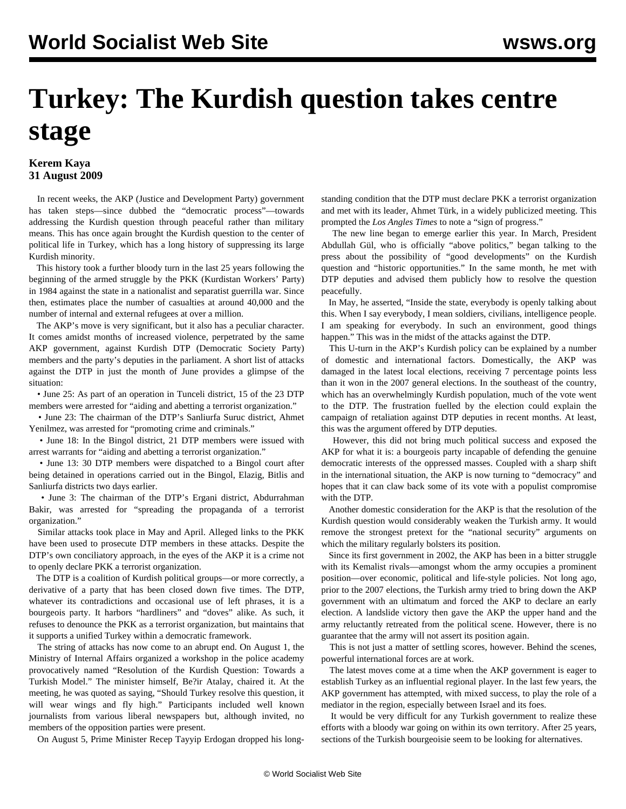## **Turkey: The Kurdish question takes centre stage**

## **Kerem Kaya 31 August 2009**

 In recent weeks, the AKP (Justice and Development Party) government has taken steps—since dubbed the "democratic process"—towards addressing the Kurdish question through peaceful rather than military means. This has once again brought the Kurdish question to the center of political life in Turkey, which has a long history of suppressing its large Kurdish minority.

 This history took a further bloody turn in the last 25 years following the beginning of the armed struggle by the PKK (Kurdistan Workers' Party) in 1984 against the state in a nationalist and separatist guerrilla war. Since then, estimates place the number of casualties at around 40,000 and the number of internal and external refugees at over a million.

 The AKP's move is very significant, but it also has a peculiar character. It comes amidst months of increased violence, perpetrated by the same AKP government, against Kurdish DTP (Democratic Society Party) members and the party's deputies in the parliament. A short list of attacks against the DTP in just the month of June provides a glimpse of the situation:

 • June 25: As part of an operation in Tunceli district, 15 of the 23 DTP members were arrested for "aiding and abetting a terrorist organization."

 • June 23: The chairman of the DTP's Sanliurfa Suruc district, Ahmet Yenilmez, was arrested for "promoting crime and criminals."

 • June 18: In the Bingol district, 21 DTP members were issued with arrest warrants for "aiding and abetting a terrorist organization."

 • June 13: 30 DTP members were dispatched to a Bingol court after being detained in operations carried out in the Bingol, Elazig, Bitlis and Sanliurfa districts two days earlier.

 • June 3: The chairman of the DTP's Ergani district, Abdurrahman Bakir, was arrested for "spreading the propaganda of a terrorist organization."

 Similar attacks took place in May and April. Alleged links to the PKK have been used to prosecute DTP members in these attacks. Despite the DTP's own conciliatory approach, in the eyes of the AKP it is a crime not to openly declare PKK a terrorist organization.

 The DTP is a coalition of Kurdish political groups—or more correctly, a derivative of a party that has been closed down five times. The DTP, whatever its contradictions and occasional use of left phrases, it is a bourgeois party. It harbors "hardliners" and "doves" alike. As such, it refuses to denounce the PKK as a terrorist organization, but maintains that it supports a unified Turkey within a democratic framework.

 The string of attacks has now come to an abrupt end. On August 1, the Ministry of Internal Affairs organized a workshop in the police academy provocatively named "Resolution of the Kurdish Question: Towards a Turkish Model." The minister himself, Be?ir Atalay, chaired it. At the meeting, he was quoted as saying, "Should Turkey resolve this question, it will wear wings and fly high." Participants included well known journalists from various liberal newspapers but, although invited, no members of the opposition parties were present.

On August 5, Prime Minister Recep Tayyip Erdogan dropped his long-

standing condition that the DTP must declare PKK a terrorist organization and met with its leader, Ahmet Türk, in a widely publicized meeting. This prompted the *Los Angles Times* to note a "sign of progress."

 The new line began to emerge earlier this year. In March, President Abdullah Gül, who is officially "above politics," began talking to the press about the possibility of "good developments" on the Kurdish question and "historic opportunities." In the same month, he met with DTP deputies and advised them publicly how to resolve the question peacefully.

 In May, he asserted, "Inside the state, everybody is openly talking about this. When I say everybody, I mean soldiers, civilians, intelligence people. I am speaking for everybody. In such an environment, good things happen." This was in the midst of the attacks against the DTP.

 This U-turn in the AKP's Kurdish policy can be explained by a number of domestic and international factors. Domestically, the AKP was damaged in the latest local elections, receiving 7 percentage points less than it won in the 2007 general elections. In the southeast of the country, which has an overwhelmingly Kurdish population, much of the vote went to the DTP. The frustration fuelled by the election could explain the campaign of retaliation against DTP deputies in recent months. At least, this was the argument offered by DTP deputies.

 However, this did not bring much political success and exposed the AKP for what it is: a bourgeois party incapable of defending the genuine democratic interests of the oppressed masses. Coupled with a sharp shift in the international situation, the AKP is now turning to "democracy" and hopes that it can claw back some of its vote with a populist compromise with the DTP.

 Another domestic consideration for the AKP is that the resolution of the Kurdish question would considerably weaken the Turkish army. It would remove the strongest pretext for the "national security" arguments on which the military regularly bolsters its position.

 Since its first government in 2002, the AKP has been in a bitter struggle with its Kemalist rivals—amongst whom the army occupies a prominent position—over economic, political and life-style policies. Not long ago, prior to the 2007 elections, the Turkish army tried to bring down the AKP government with an ultimatum and forced the AKP to declare an early election. A landslide victory then gave the AKP the upper hand and the army reluctantly retreated from the political scene. However, there is no guarantee that the army will not assert its position again.

 This is not just a matter of settling scores, however. Behind the scenes, powerful international forces are at work.

 The latest moves come at a time when the AKP government is eager to establish Turkey as an influential regional player. In the last few years, the AKP government has attempted, with mixed success, to play the role of a mediator in the region, especially between Israel and its foes.

 It would be very difficult for any Turkish government to realize these efforts with a bloody war going on within its own territory. After 25 years, sections of the Turkish bourgeoisie seem to be looking for alternatives.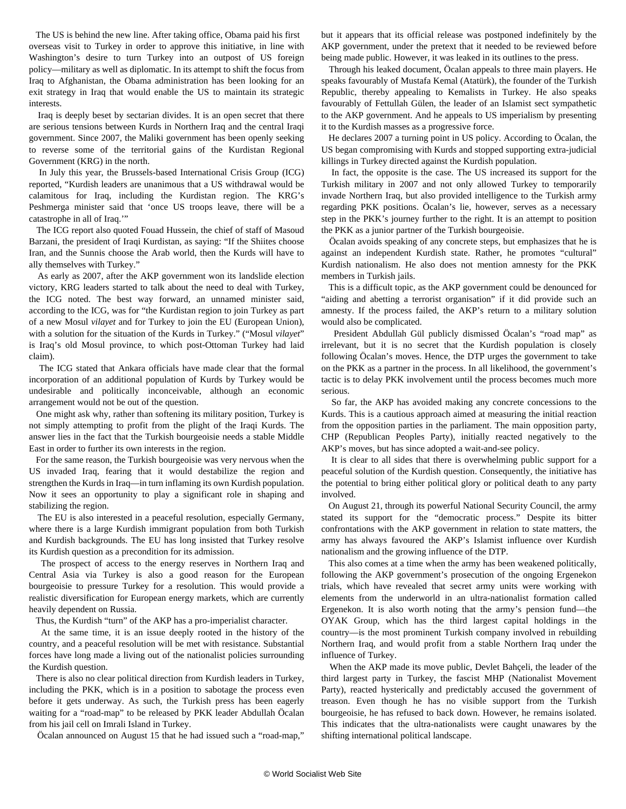The US is behind the new line. After taking office, Obama paid his first overseas visit to Turkey in order to approve this initiative, in line with Washington's desire to turn Turkey into an outpost of US foreign policy—military as well as diplomatic. In its attempt to shift the focus from Iraq to Afghanistan, the Obama administration has been looking for an exit strategy in Iraq that would enable the US to maintain its strategic interests.

 Iraq is deeply beset by sectarian divides. It is an open secret that there are serious tensions between Kurds in Northern Iraq and the central Iraqi government. Since 2007, the Maliki government has been openly seeking to reverse some of the territorial gains of the Kurdistan Regional Government (KRG) in the north.

 In July this year, the Brussels-based International Crisis Group (ICG) reported, "Kurdish leaders are unanimous that a US withdrawal would be calamitous for Iraq, including the Kurdistan region. The KRG's Peshmerga minister said that 'once US troops leave, there will be a catastrophe in all of Iraq.'"

 The ICG report also quoted Fouad Hussein, the chief of staff of Masoud Barzani, the president of Iraqi Kurdistan, as saying: "If the Shiites choose Iran, and the Sunnis choose the Arab world, then the Kurds will have to ally themselves with Turkey."

 As early as 2007, after the AKP government won its landslide election victory, KRG leaders started to talk about the need to deal with Turkey, the ICG noted. The best way forward, an unnamed minister said, according to the ICG, was for "the Kurdistan region to join Turkey as part of a new Mosul *vilayet* and for Turkey to join the EU (European Union), with a solution for the situation of the Kurds in Turkey." ("Mosul *vilayet*" is Iraq's old Mosul province, to which post-Ottoman Turkey had laid claim).

 The ICG stated that Ankara officials have made clear that the formal incorporation of an additional population of Kurds by Turkey would be undesirable and politically inconceivable, although an economic arrangement would not be out of the question.

 One might ask why, rather than softening its military position, Turkey is not simply attempting to profit from the plight of the Iraqi Kurds. The answer lies in the fact that the Turkish bourgeoisie needs a stable Middle East in order to further its own interests in the region.

 For the same reason, the Turkish bourgeoisie was very nervous when the US invaded Iraq, fearing that it would destabilize the region and strengthen the Kurds in Iraq—in turn inflaming its own Kurdish population. Now it sees an opportunity to play a significant role in shaping and stabilizing the region.

 The EU is also interested in a peaceful resolution, especially Germany, where there is a large Kurdish immigrant population from both Turkish and Kurdish backgrounds. The EU has long insisted that Turkey resolve its Kurdish question as a precondition for its admission.

 The prospect of access to the energy reserves in Northern Iraq and Central Asia via Turkey is also a good reason for the European bourgeoisie to pressure Turkey for a resolution. This would provide a realistic diversification for European energy markets, which are currently heavily dependent on Russia.

Thus, the Kurdish "turn" of the AKP has a pro-imperialist character.

 At the same time, it is an issue deeply rooted in the history of the country, and a peaceful resolution will be met with resistance. Substantial forces have long made a living out of the nationalist policies surrounding the Kurdish question.

 There is also no clear political direction from Kurdish leaders in Turkey, including the PKK, which is in a position to sabotage the process even before it gets underway. As such, the Turkish press has been eagerly waiting for a "road-map" to be released by PKK leader Abdullah Öcalan from his jail cell on Imrali Island in Turkey.

Öcalan announced on August 15 that he had issued such a "road-map,"

but it appears that its official release was postponed indefinitely by the AKP government, under the pretext that it needed to be reviewed before being made public. However, it was leaked in its outlines to the press.

 Through his leaked document, Öcalan appeals to three main players. He speaks favourably of Mustafa Kemal (Atatürk), the founder of the Turkish Republic, thereby appealing to Kemalists in Turkey. He also speaks favourably of Fettullah Gülen, the leader of an Islamist sect sympathetic to the AKP government. And he appeals to US imperialism by presenting it to the Kurdish masses as a progressive force.

 He declares 2007 a turning point in US policy. According to Öcalan, the US began compromising with Kurds and stopped supporting extra-judicial killings in Turkey directed against the Kurdish population.

 In fact, the opposite is the case. The US increased its support for the Turkish military in 2007 and not only allowed Turkey to temporarily invade Northern Iraq, but also provided intelligence to the Turkish army regarding PKK positions. Öcalan's lie, however, serves as a necessary step in the PKK's journey further to the right. It is an attempt to position the PKK as a junior partner of the Turkish bourgeoisie.

 Öcalan avoids speaking of any concrete steps, but emphasizes that he is against an independent Kurdish state. Rather, he promotes "cultural" Kurdish nationalism. He also does not mention amnesty for the PKK members in Turkish jails.

 This is a difficult topic, as the AKP government could be denounced for "aiding and abetting a terrorist organisation" if it did provide such an amnesty. If the process failed, the AKP's return to a military solution would also be complicated.

 President Abdullah Gül publicly dismissed Öcalan's "road map" as irrelevant, but it is no secret that the Kurdish population is closely following Öcalan's moves. Hence, the DTP urges the government to take on the PKK as a partner in the process. In all likelihood, the government's tactic is to delay PKK involvement until the process becomes much more serious.

 So far, the AKP has avoided making any concrete concessions to the Kurds. This is a cautious approach aimed at measuring the initial reaction from the opposition parties in the parliament. The main opposition party, CHP (Republican Peoples Party), initially reacted negatively to the AKP's moves, but has since adopted a wait-and-see policy.

 It is clear to all sides that there is overwhelming public support for a peaceful solution of the Kurdish question. Consequently, the initiative has the potential to bring either political glory or political death to any party involved.

 On August 21, through its powerful National Security Council, the army stated its support for the "democratic process." Despite its bitter confrontations with the AKP government in relation to state matters, the army has always favoured the AKP's Islamist influence over Kurdish nationalism and the growing influence of the DTP.

 This also comes at a time when the army has been weakened politically, following the AKP government's prosecution of the ongoing Ergenekon trials, which have revealed that secret army units were working with elements from the underworld in an ultra-nationalist formation called Ergenekon. It is also worth noting that the army's pension fund—the OYAK Group, which has the third largest capital holdings in the country—is the most prominent Turkish company involved in rebuilding Northern Iraq, and would profit from a stable Northern Iraq under the influence of Turkey.

 When the AKP made its move public, Devlet Bahçeli, the leader of the third largest party in Turkey, the fascist MHP (Nationalist Movement Party), reacted hysterically and predictably accused the government of treason. Even though he has no visible support from the Turkish bourgeoisie, he has refused to back down. However, he remains isolated. This indicates that the ultra-nationalists were caught unawares by the shifting international political landscape.